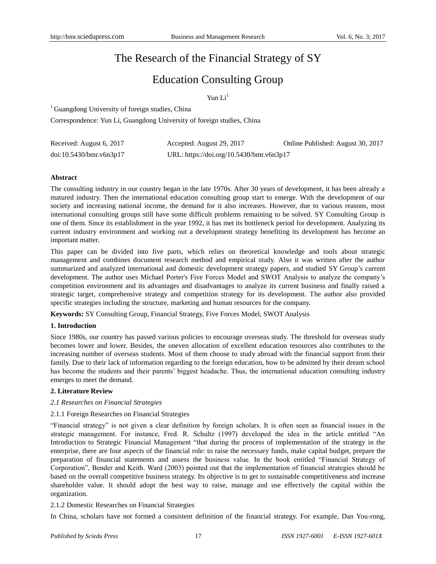# The Research of the Financial Strategy of SY

# Education Consulting Group

Yun  $Li<sup>1</sup>$ 

<sup>1</sup> Guangdong University of foreign studies, China

Correspondence: Yun Li, Guangdong University of foreign studies, China

| Received: August 6, 2017 | Accepted: August 29, 2017                | Online Published: August 30, 2017 |
|--------------------------|------------------------------------------|-----------------------------------|
| doi:10.5430/bmr.v6n3p17  | URL: https://doi.org/10.5430/bmr.v6n3p17 |                                   |

## **Abstract**

The consulting industry in our country began in the late 1970s. After 30 years of development, it has been already a matured industry. Then the international education consulting group start to emerge. With the development of our society and increasing national income, the demand for it also increases. However, due to various reasons, most international consulting groups still have some difficult problems remaining to be solved. SY Consulting Group is one of them. Since its establishment in the year 1992, it has met its bottleneck period for development. Analyzing its current industry environment and working out a development strategy benefiting its development has become an important matter.

This paper can be divided into five parts, which relies on theoretical knowledge and tools about strategic management and combines document research method and empirical study. Also it was written after the author summarized and analyzed international and domestic development strategy papers, and studied SY Group's current development. The author uses Michael Porter's Five Forces Model and SWOT Analysis to analyze the company's competition environment and its advantages and disadvantages to analyze its current business and finally raised a strategic target, comprehensive strategy and competition strategy for its development. The author also provided specific strategies including the structure, marketing and human resources for the company.

**Keywords:** SY Consulting Group, Financial Strategy, Five Forces Model, SWOT Analysis

# **1. Introduction**

Since 1980s, our country has passed various policies to encourage overseas study. The threshold for overseas study becomes lower and lower. Besides, the uneven allocation of excellent education resources also contributes to the increasing number of overseas students. Most of them choose to study abroad with the financial support from their family. Due to their lack of information regarding to the foreign education, how to be admitted by their dream school has become the students and their parents' biggest headache. Thus, the international education consulting industry emerges to meet the demand.

## **2. Literature Review**

# *2.1 Researches on Financial Strategies*

# 2.1.1 Foreign Researches on Financial Strategies

"Financial strategy" is not given a clear definition by foreign scholars. It is often seen as financial issues in the strategic management. For instance, Fred. R. Schultz (1997) developed the idea in the article entitled "An Introduction to Strategic Financial Management "that during the process of implementation of the strategy in the enterprise, there are four aspects of the financial role: to raise the necessary funds, make capital budget, prepare the preparation of financial statements and assess the business value. In the book entitled "Financial Strategy of Corporation", Bender and Keith. Ward (2003) pointed out that the implementation of financial strategies should be based on the overall competitive business strategy. Its objective is to get to sustainable competitiveness and increase shareholder value. It should adopt the best way to raise, manage and use effectively the capital within the organization.

## 2.1.2 Domestic Researches on Financial Strategies

In China, scholars have not formed a consistent definition of the financial strategy. For example, Dan You-rong,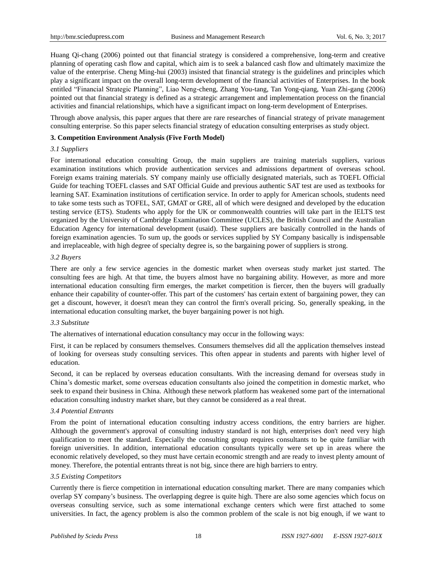Huang Qi-chang (2006) pointed out that financial strategy is considered a comprehensive, long-term and creative planning of operating cash flow and capital, which aim is to seek a balanced cash flow and ultimately maximize the value of the enterprise. Cheng Ming-hui (2003) insisted that financial strategy is the guidelines and principles which play a significant impact on the overall long-term development of the financial activities of Enterprises. In the book entitled "Financial Strategic Planning", Liao Neng-cheng, Zhang You-tang, Tan Yong-qiang, Yuan Zhi-gang (2006) pointed out that financial strategy is defined as a strategic arrangement and implementation process on the financial activities and financial relationships, which have a significant impact on long-term development of Enterprises.

Through above analysis, this paper argues that there are rare researches of financial strategy of private management consulting enterprise. So this paper selects financial strategy of education consulting enterprises as study object.

# **3. Competition Environment Analysis (Five Forth Model)**

# *3.1 Suppliers*

For international education consulting Group, the main suppliers are training materials suppliers, various examination institutions which provide authentication services and admissions department of overseas school. Foreign exams training materials. SY company mainly use officially designated materials, such as TOEFL Official Guide for teaching TOEFL classes and SAT Official Guide and previous authentic SAT test are used as textbooks for learning SAT. Examination institutions of certification service. In order to apply for American schools, students need to take some tests such as TOFEL, SAT, GMAT or GRE, all of which were designed and developed by the education testing service (ETS). Students who apply for the UK or commonwealth countries will take part in the IELTS test organized by the University of Cambridge Examination Committee (UCLES), the British Council and the Australian Education Agency for international development (usaid). These suppliers are basically controlled in the hands of foreign examination agencies. To sum up, the goods or services supplied by SY Company basically is indispensable and irreplaceable, with high degree of specialty degree is, so the bargaining power of suppliers is strong.

# *3.2 Buyers*

There are only a few service agencies in the domestic market when overseas study market just started. The consulting fees are high. At that time, the buyers almost have no bargaining ability. However, as more and more international education consulting firm emerges, the market competition is fiercer, then the buyers will gradually enhance their capability of counter-offer. This part of the customers' has certain extent of bargaining power, they can get a discount, however, it doesn't mean they can control the firm's overall pricing. So, generally speaking, in the international education consulting market, the buyer bargaining power is not high.

# *3.3 Substitute*

The alternatives of international education consultancy may occur in the following ways:

First, it can be replaced by consumers themselves. Consumers themselves did all the application themselves instead of looking for overseas study consulting services. This often appear in students and parents with higher level of education.

Second, it can be replaced by overseas education consultants. With the increasing demand for overseas study in China's domestic market, some overseas education consultants also joined the competition in domestic market, who seek to expand their business in China. Although these network platform has weakened some part of the international education consulting industry market share, but they cannot be considered as a real threat.

# *3.4 Potential Entrants*

From the point of international education consulting industry access conditions, the entry barriers are higher. Although the government's approval of consulting industry standard is not high, enterprises don't need very high qualification to meet the standard. Especially the consulting group requires consultants to be quite familiar with foreign universities. In addition, international education consultants typically were set up in areas where the economic relatively developed, so they must have certain economic strength and are ready to invest plenty amount of money. Therefore, the potential entrants threat is not big, since there are high barriers to entry.

# *3.5 Existing Competitors*

Currently there is fierce competition in international education consulting market. There are many companies which overlap SY company's business. The overlapping degree is quite high. There are also some agencies which focus on overseas consulting service, such as some international exchange centers which were first attached to some universities. In fact, the agency problem is also the common problem of the scale is not big enough, if we want to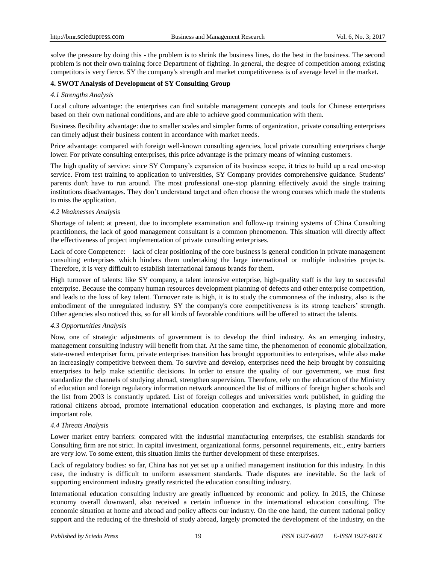solve the pressure by doing this - the problem is to shrink the business lines, do the best in the business. The second problem is not their own training force Department of fighting. In general, the degree of competition among existing competitors is very fierce. SY the company's strength and market competitiveness is of average level in the market.

# **4. SWOT Analysis of Development of SY Consulting Group**

## *4.1 Strengths Analysis*

Local culture advantage: the enterprises can find suitable management concepts and tools for Chinese enterprises based on their own national conditions, and are able to achieve good communication with them.

Business flexibility advantage: due to smaller scales and simpler forms of organization, private consulting enterprises can timely adjust their business content in accordance with market needs.

Price advantage: compared with foreign well-known consulting agencies, local private consulting enterprises charge lower. For private consulting enterprises, this price advantage is the primary means of winning customers.

The high quality of service: since SY Company's expansion of its business scope, it tries to build up a real one-stop service. From test training to application to universities, SY Company provides comprehensive guidance. Students' parents don't have to run around. The most professional one-stop planning effectively avoid the single training institutions disadvantages. They don't understand target and often choose the wrong courses which made the students to miss the application.

## *4.2 Weaknesses Analysis*

Shortage of talent: at present, due to incomplete examination and follow-up training systems of China Consulting practitioners, the lack of good management consultant is a common phenomenon. This situation will directly affect the effectiveness of project implementation of private consulting enterprises.

Lack of core Competence: lack of clear positioning of the core business is general condition in private management consulting enterprises which hinders them undertaking the large international or multiple industries projects. Therefore, it is very difficult to establish international famous brands for them.

High turnover of talents: like SY company, a talent intensive enterprise, high-quality staff is the key to successful enterprise. Because the company human resources development planning of defects and other enterprise competition, and leads to the loss of key talent. Turnover rate is high, it is to study the commonness of the industry, also is the embodiment of the unregulated industry. SY the company's core competitiveness is its strong teachers' strength. Other agencies also noticed this, so for all kinds of favorable conditions will be offered to attract the talents.

# *4.3 Opportunities Analysis*

Now, one of strategic adjustments of government is to develop the third industry. As an emerging industry, management consulting industry will benefit from that. At the same time, the phenomenon of economic globalization, state-owned enterpriser form, private enterprises transition has brought opportunities to enterprises, while also make an increasingly competitive between them. To survive and develop, enterprises need the help brought by consulting enterprises to help make scientific decisions. In order to ensure the quality of our government, we must first standardize the channels of studying abroad, strengthen supervision. Therefore, rely on the education of the Ministry of education and foreign regulatory information network announced the list of millions of foreign higher schools and the list from 2003 is constantly updated. List of foreign colleges and universities work published, in guiding the rational citizens abroad, promote international education cooperation and exchanges, is playing more and more important role.

# *4.4 Threats Analysis*

Lower market entry barriers: compared with the industrial manufacturing enterprises, the establish standards for Consulting firm are not strict. In capital investment, organizational forms, personnel requirements, etc., entry barriers are very low. To some extent, this situation limits the further development of these enterprises.

Lack of regulatory bodies: so far, China has not yet set up a unified management institution for this industry. In this case, the industry is difficult to uniform assessment standards. Trade disputes are inevitable. So the lack of supporting environment industry greatly restricted the education consulting industry.

International education consulting industry are greatly influenced by economic and policy. In 2015, the Chinese economy overall downward, also received a certain influence in the international education consulting. The economic situation at home and abroad and policy affects our industry. On the one hand, the current national policy support and the reducing of the threshold of study abroad, largely promoted the development of the industry, on the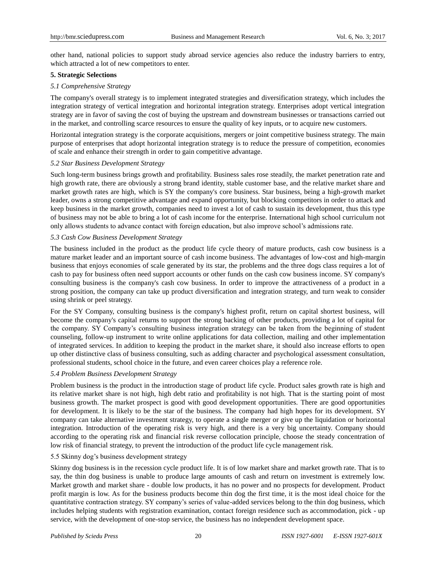other hand, national policies to support study abroad service agencies also reduce the industry barriers to entry, which attracted a lot of new competitors to enter.

## **5. Strategic Selections**

## *5.1 Comprehensive Strategy*

The company's overall strategy is to implement integrated strategies and diversification strategy, which includes the integration strategy of vertical integration and horizontal integration strategy. Enterprises adopt vertical integration strategy are in favor of saving the cost of buying the upstream and downstream businesses or transactions carried out in the market, and controlling scarce resources to ensure the quality of key inputs, or to acquire new customers.

Horizontal integration strategy is the corporate acquisitions, mergers or joint competitive business strategy. The main purpose of enterprises that adopt horizontal integration strategy is to reduce the pressure of competition, economies of scale and enhance their strength in order to gain competitive advantage.

## *5.2 Star Business Development Strategy*

Such long-term business brings growth and profitability. Business sales rose steadily, the market penetration rate and high growth rate, there are obviously a strong brand identity, stable customer base, and the relative market share and market growth rates are high, which is SY the company's core business. Star business, being a high-growth market leader, owns a strong competitive advantage and expand opportunity, but blocking competitors in order to attack and keep business in the market growth, companies need to invest a lot of cash to sustain its development, thus this type of business may not be able to bring a lot of cash income for the enterprise. International high school curriculum not only allows students to advance contact with foreign education, but also improve school's admissions rate.

# *5.3 Cash Cow Business Development Strategy*

The business included in the product as the product life cycle theory of mature products, cash cow business is a mature market leader and an important source of cash income business. The advantages of low-cost and high-margin business that enjoys economies of scale generated by its star, the problems and the three dogs class requires a lot of cash to pay for business often need support accounts or other funds on the cash cow business income. SY company's consulting business is the company's cash cow business. In order to improve the attractiveness of a product in a strong position, the company can take up product diversification and integration strategy, and turn weak to consider using shrink or peel strategy.

For the SY Company, consulting business is the company's highest profit, return on capital shortest business, will become the company's capital returns to support the strong backing of other products, providing a lot of capital for the company. SY Company's consulting business integration strategy can be taken from the beginning of student counseling, follow-up instrument to write online applications for data collection, mailing and other implementation of integrated services. In addition to keeping the product in the market share, it should also increase efforts to open up other distinctive class of business consulting, such as adding character and psychological assessment consultation, professional students, school choice in the future, and even career choices play a reference role.

# *5.4 Problem Business Development Strategy*

Problem business is the product in the introduction stage of product life cycle. Product sales growth rate is high and its relative market share is not high, high debt ratio and profitability is not high. That is the starting point of most business growth. The market prospect is good with good development opportunities. There are good opportunities for development. It is likely to be the star of the business. The company had high hopes for its development. SY company can take alternative investment strategy, to operate a single merger or give up the liquidation or horizontal integration. Introduction of the operating risk is very high, and there is a very big uncertainty. Company should according to the operating risk and financial risk reverse collocation principle, choose the steady concentration of low risk of financial strategy, to prevent the introduction of the product life cycle management risk.

# 5.5 Skinny dog's business development strategy

Skinny dog business is in the recession cycle product life. It is of low market share and market growth rate. That is to say, the thin dog business is unable to produce large amounts of cash and return on investment is extremely low. Market growth and market share - double low products, it has no power and no prospects for development. Product profit margin is low. As for the business products become thin dog the first time, it is the most ideal choice for the quantitative contraction strategy. SY company's series of value-added services belong to the thin dog business, which includes helping students with registration examination, contact foreign residence such as accommodation, pick - up service, with the development of one-stop service, the business has no independent development space.